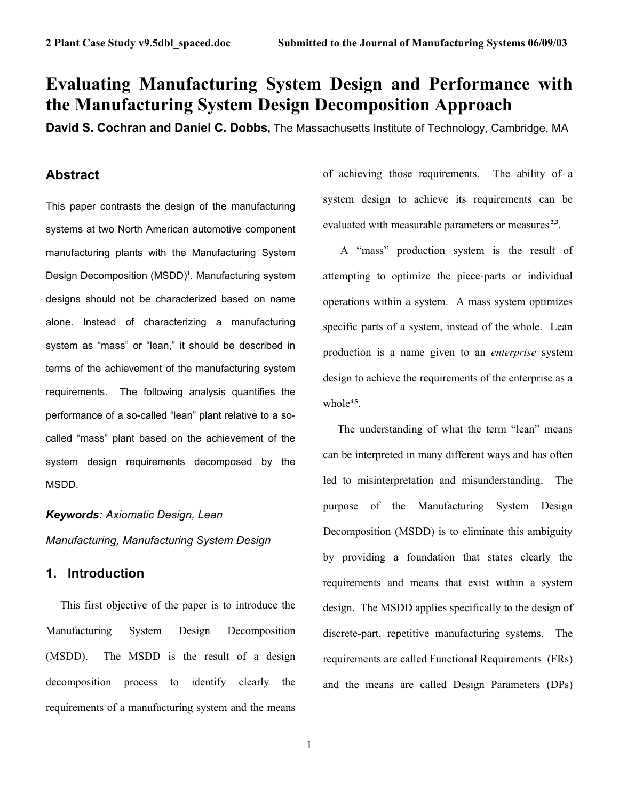# **Evaluating Manufacturing System Design and Performance with the Manufacturing System Design Decomposition Approach**

**David S. Cochran and Daniel C. Dobbs,** The Massachusetts Institute of Technology, Cambridge, MA

# **Abstract**

This paper contrasts the design of the manufacturing systems at two North American automotive component manufacturing plants with the Manufacturing System Design Decomposition (MSDD)**<sup>1</sup>** . Manufacturing system designs should not be characterized based on name alone. Instead of characterizing a manufacturing system as "mass" or "lean," it should be described in terms of the achievement of the manufacturing system requirements. The following analysis quantifies the performance of a so-called "lean" plant relative to a socalled "mass" plant based on the achievement of the system design requirements decomposed by the MSDD.

*Keywords: Axiomatic Design, Lean Manufacturing, Manufacturing System Design*

# **1. Introduction**

This first objective of the paper is to introduce the Manufacturing System Design Decomposition (MSDD). The MSDD is the result of a design decomposition process to identify clearly the requirements of a manufacturing system and the means

of achieving those requirements. The ability of a system design to achieve its requirements can be evaluated with measurable parameters or measures **2,3**.

 A "mass" production system is the result of attempting to optimize the piece-parts or individual operations within a system. A mass system optimizes specific parts of a system, instead of the whole. Lean production is a name given to an *enterprise* system design to achieve the requirements of the enterprise as a whole**4,5**.

The understanding of what the term "lean" means can be interpreted in many different ways and has often led to misinterpretation and misunderstanding. The purpose of the Manufacturing System Design Decomposition (MSDD) is to eliminate this ambiguity by providing a foundation that states clearly the requirements and means that exist within a system design. The MSDD applies specifically to the design of discrete-part, repetitive manufacturing systems. The requirements are called Functional Requirements (FRs) and the means are called Design Parameters (DPs)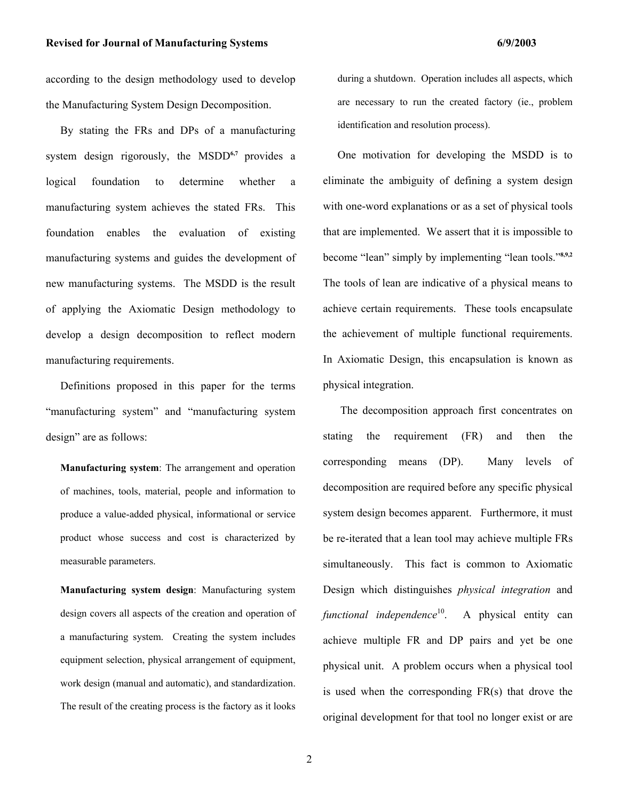according to the design methodology used to develop the Manufacturing System Design Decomposition.

By stating the FRs and DPs of a manufacturing system design rigorously, the MSDD**6,7** provides a logical foundation to determine whether a manufacturing system achieves the stated FRs. This foundation enables the evaluation of existing manufacturing systems and guides the development of new manufacturing systems. The MSDD is the result of applying the Axiomatic Design methodology to develop a design decomposition to reflect modern manufacturing requirements.

Definitions proposed in this paper for the terms "manufacturing system" and "manufacturing system design" are as follows:

**Manufacturing system**: The arrangement and operation of machines, tools, material, people and information to produce a value-added physical, informational or service product whose success and cost is characterized by measurable parameters.

**Manufacturing system design**: Manufacturing system design covers all aspects of the creation and operation of a manufacturing system. Creating the system includes equipment selection, physical arrangement of equipment, work design (manual and automatic), and standardization. The result of the creating process is the factory as it looks

during a shutdown. Operation includes all aspects, which are necessary to run the created factory (ie., problem identification and resolution process).

One motivation for developing the MSDD is to eliminate the ambiguity of defining a system design with one-word explanations or as a set of physical tools that are implemented. We assert that it is impossible to become "lean" simply by implementing "lean tools."**8,9,2** The tools of lean are indicative of a physical means to achieve certain requirements. These tools encapsulate the achievement of multiple functional requirements. In Axiomatic Design, this encapsulation is known as physical integration.

 The decomposition approach first concentrates on stating the requirement (FR) and then the corresponding means (DP). Many levels of decomposition are required before any specific physical system design becomes apparent. Furthermore, it must be re-iterated that a lean tool may achieve multiple FRs simultaneously. This fact is common to Axiomatic Design which distinguishes *physical integration* and *functional independence*<sup>10</sup>. A physical entity can achieve multiple FR and DP pairs and yet be one physical unit. A problem occurs when a physical tool is used when the corresponding FR(s) that drove the original development for that tool no longer exist or are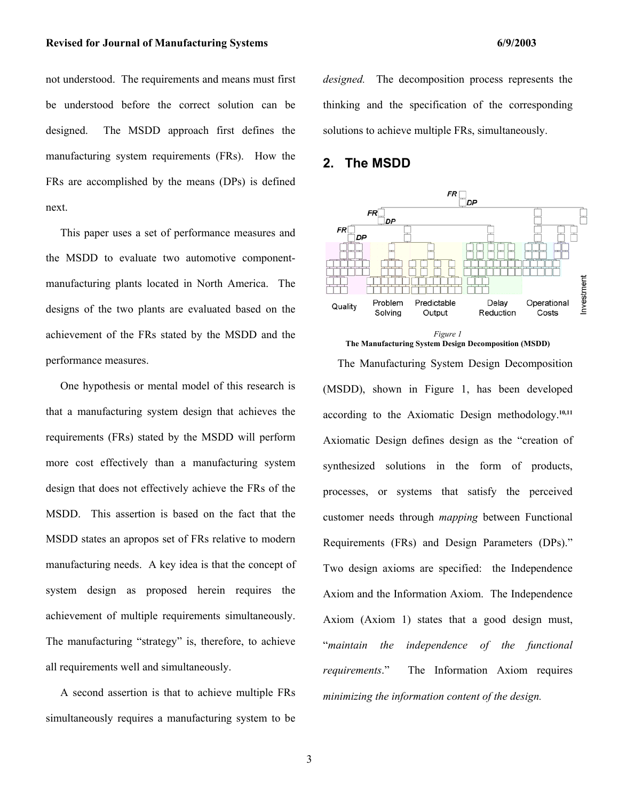#### Revised for Journal of Manufacturing Systems **6/9/2003 6/9/2003**

not understood. The requirements and means must first be understood before the correct solution can be designed. The MSDD approach first defines the manufacturing system requirements (FRs). How the FRs are accomplished by the means (DPs) is defined next.

This paper uses a set of performance measures and the MSDD to evaluate two automotive componentmanufacturing plants located in North America. The designs of the two plants are evaluated based on the achievement of the FRs stated by the MSDD and the performance measures.

One hypothesis or mental model of this research is that a manufacturing system design that achieves the requirements (FRs) stated by the MSDD will perform more cost effectively than a manufacturing system design that does not effectively achieve the FRs of the MSDD. This assertion is based on the fact that the MSDD states an apropos set of FRs relative to modern manufacturing needs. A key idea is that the concept of system design as proposed herein requires the achievement of multiple requirements simultaneously. The manufacturing "strategy" is, therefore, to achieve all requirements well and simultaneously.

A second assertion is that to achieve multiple FRs simultaneously requires a manufacturing system to be *designed.* The decomposition process represents the thinking and the specification of the corresponding solutions to achieve multiple FRs, simultaneously.

# **2. The MSDD**





The Manufacturing System Design Decomposition (MSDD), shown in Figure 1, has been developed according to the Axiomatic Design methodology.**10,11** Axiomatic Design defines design as the "creation of synthesized solutions in the form of products, processes, or systems that satisfy the perceived customer needs through *mapping* between Functional Requirements (FRs) and Design Parameters (DPs)." Two design axioms are specified: the Independence Axiom and the Information Axiom. The Independence Axiom (Axiom 1) states that a good design must, "*maintain the independence of the functional requirements*."The Information Axiom requires *minimizing the information content of the design.*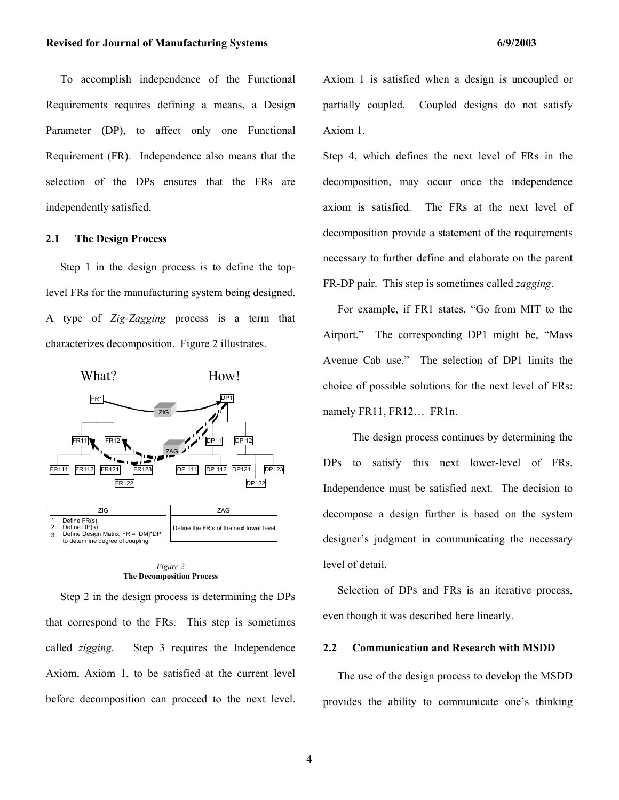To accomplish independence of the Functional Requirements requires defining a means, a Design Parameter (DP), to affect only one Functional Requirement (FR). Independence also means that the selection of the DPs ensures that the FRs are independently satisfied.

#### **2.1 The Design Process**

Step 1 in the design process is to define the toplevel FRs for the manufacturing system being designed. A type of *Zig-Zagging* process is a term that characterizes decomposition. Figure 2 illustrates.



#### *Figure 2*  **The Decomposition Process**

Step 2 in the design process is determining the DPs that correspond to the FRs. This step is sometimes called *zigging.* Step 3 requires the Independence Axiom, Axiom 1, to be satisfied at the current level before decomposition can proceed to the next level. Axiom 1 is satisfied when a design is uncoupled or partially coupled. Coupled designs do not satisfy Axiom 1.

Step 4, which defines the next level of FRs in the decomposition, may occur once the independence axiom is satisfied. The FRs at the next level of decomposition provide a statement of the requirements necessary to further define and elaborate on the parent FR-DP pair. This step is sometimes called *zagging*.

For example, if FR1 states, "Go from MIT to the Airport." The corresponding DP1 might be, "Mass Avenue Cab use." The selection of DP1 limits the choice of possible solutions for the next level of FRs: namely FR11, FR12… FR1n.

 The design process continues by determining the DPs to satisfy this next lower-level of FRs. Independence must be satisfied next. The decision to decompose a design further is based on the system designer's judgment in communicating the necessary level of detail.

Selection of DPs and FRs is an iterative process, even though it was described here linearly.

#### **2.2 Communication and Research with MSDD**

The use of the design process to develop the MSDD provides the ability to communicate one's thinking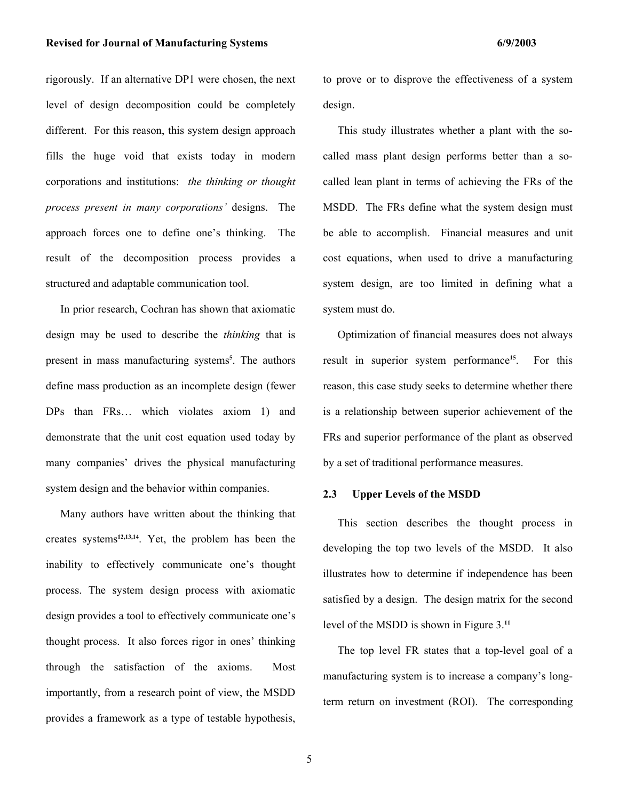#### Revised for Journal of Manufacturing Systems **6/9/2003 6/9/2003**

rigorously. If an alternative DP1 were chosen, the next level of design decomposition could be completely different. For this reason, this system design approach fills the huge void that exists today in modern corporations and institutions: *the thinking or thought process present in many corporations'* designs. The approach forces one to define one's thinking. The result of the decomposition process provides a structured and adaptable communication tool.

In prior research, Cochran has shown that axiomatic design may be used to describe the *thinking* that is present in mass manufacturing systems**<sup>5</sup>** . The authors define mass production as an incomplete design (fewer DPs than FRs… which violates axiom 1) and demonstrate that the unit cost equation used today by many companies' drives the physical manufacturing system design and the behavior within companies.

Many authors have written about the thinking that creates systems**12,13,14**. Yet, the problem has been the inability to effectively communicate one's thought process. The system design process with axiomatic design provides a tool to effectively communicate one's thought process. It also forces rigor in ones' thinking through the satisfaction of the axioms. Most importantly, from a research point of view, the MSDD provides a framework as a type of testable hypothesis, to prove or to disprove the effectiveness of a system design.

 This study illustrates whether a plant with the socalled mass plant design performs better than a socalled lean plant in terms of achieving the FRs of the MSDD. The FRs define what the system design must be able to accomplish. Financial measures and unit cost equations, when used to drive a manufacturing system design, are too limited in defining what a system must do.

Optimization of financial measures does not always result in superior system performance**<sup>15</sup>**. For this reason, this case study seeks to determine whether there is a relationship between superior achievement of the FRs and superior performance of the plant as observed by a set of traditional performance measures.

#### **2.3 Upper Levels of the MSDD**

This section describes the thought process in developing the top two levels of the MSDD. It also illustrates how to determine if independence has been satisfied by a design. The design matrix for the second level of the MSDD is shown in Figure 3.**<sup>11</sup>**

The top level FR states that a top-level goal of a manufacturing system is to increase a company's longterm return on investment (ROI). The corresponding

5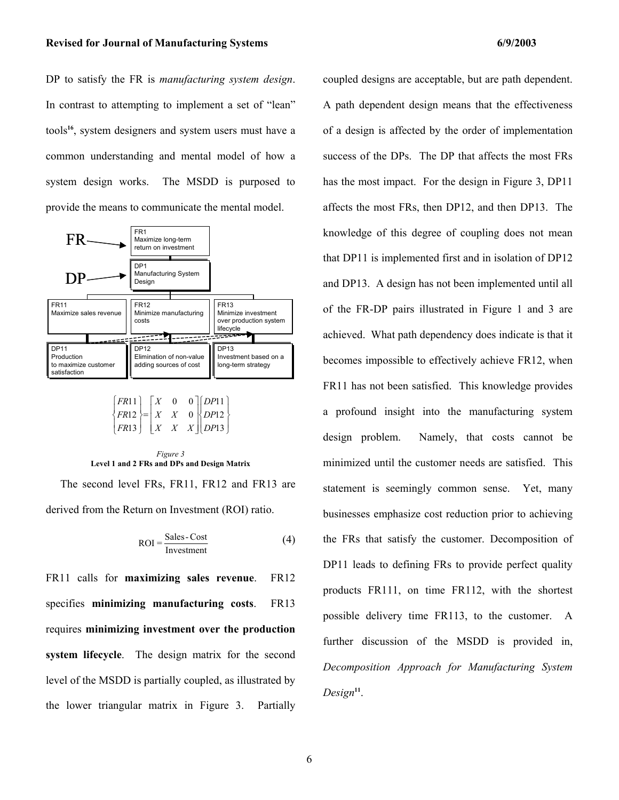DP to satisfy the FR is *manufacturing system design*. In contrast to attempting to implement a set of "lean" tools**<sup>16</sup>**, system designers and system users must have a common understanding and mental model of how a system design works. The MSDD is purposed to provide the means to communicate the mental model.





The second level FRs, FR11, FR12 and FR13 are derived from the Return on Investment (ROI) ratio.

$$
ROI = \frac{Sales - Cost}{Investment}
$$
 (4)

FR11 calls for **maximizing sales revenue**. FR12 specifies **minimizing manufacturing costs**. FR13 requires **minimizing investment over the production system lifecycle**. The design matrix for the second level of the MSDD is partially coupled, as illustrated by the lower triangular matrix in Figure 3. Partially coupled designs are acceptable, but are path dependent. A path dependent design means that the effectiveness of a design is affected by the order of implementation success of the DPs. The DP that affects the most FRs has the most impact. For the design in Figure 3, DP11 affects the most FRs, then DP12, and then DP13. The knowledge of this degree of coupling does not mean that DP11 is implemented first and in isolation of DP12 and DP13. A design has not been implemented until all of the FR-DP pairs illustrated in Figure 1 and 3 are achieved. What path dependency does indicate is that it becomes impossible to effectively achieve FR12, when FR11 has not been satisfied. This knowledge provides a profound insight into the manufacturing system design problem. Namely, that costs cannot be minimized until the customer needs are satisfied. This statement is seemingly common sense. Yet, many businesses emphasize cost reduction prior to achieving the FRs that satisfy the customer. Decomposition of DP11 leads to defining FRs to provide perfect quality products FR111, on time FR112, with the shortest possible delivery time FR113, to the customer. A further discussion of the MSDD is provided in, *Decomposition Approach for Manufacturing System Design***11**.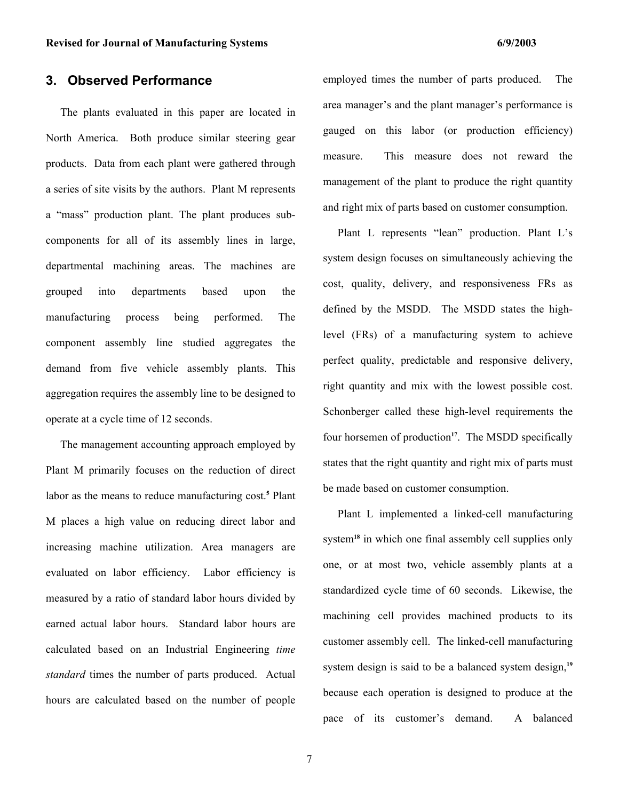# **3. Observed Performance**

The plants evaluated in this paper are located in North America. Both produce similar steering gear products. Data from each plant were gathered through a series of site visits by the authors. Plant M represents a "mass" production plant. The plant produces subcomponents for all of its assembly lines in large, departmental machining areas. The machines are grouped into departments based upon the manufacturing process being performed. The component assembly line studied aggregates the demand from five vehicle assembly plants. This aggregation requires the assembly line to be designed to operate at a cycle time of 12 seconds.

The management accounting approach employed by Plant M primarily focuses on the reduction of direct labor as the means to reduce manufacturing cost.**<sup>5</sup>** Plant M places a high value on reducing direct labor and increasing machine utilization. Area managers are evaluated on labor efficiency. Labor efficiency is measured by a ratio of standard labor hours divided by earned actual labor hours. Standard labor hours are calculated based on an Industrial Engineering *time standard* times the number of parts produced. Actual hours are calculated based on the number of people

employed times the number of parts produced. The area manager's and the plant manager's performance is gauged on this labor (or production efficiency) measure. This measure does not reward the management of the plant to produce the right quantity and right mix of parts based on customer consumption.

Plant L represents "lean" production. Plant L's system design focuses on simultaneously achieving the cost, quality, delivery, and responsiveness FRs as defined by the MSDD. The MSDD states the highlevel (FRs) of a manufacturing system to achieve perfect quality, predictable and responsive delivery, right quantity and mix with the lowest possible cost. Schonberger called these high-level requirements the four horsemen of production<sup>17</sup>. The MSDD specifically states that the right quantity and right mix of parts must be made based on customer consumption.

Plant L implemented a linked-cell manufacturing system<sup>18</sup> in which one final assembly cell supplies only one, or at most two, vehicle assembly plants at a standardized cycle time of 60 seconds. Likewise, the machining cell provides machined products to its customer assembly cell. The linked-cell manufacturing system design is said to be a balanced system design,**<sup>19</sup>** because each operation is designed to produce at the pace of its customer's demand. A balanced

7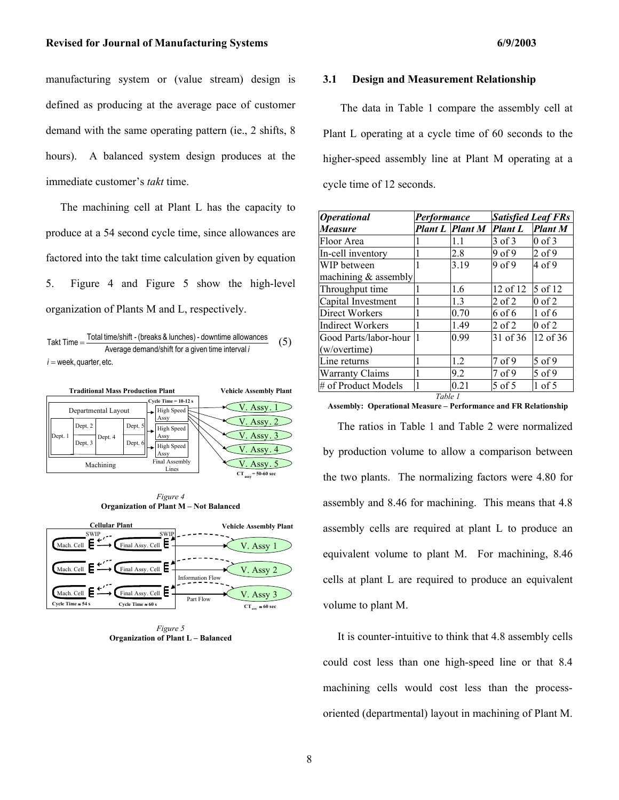manufacturing system or (value stream) design is defined as producing at the average pace of customer demand with the same operating pattern (ie., 2 shifts, 8 hours). A balanced system design produces at the immediate customer's *takt* time.

The machining cell at Plant L has the capacity to produce at a 54 second cycle time, since allowances are factored into the takt time calculation given by equation 5. Figure 4 and Figure 5 show the high-level organization of Plants M and L, respectively.





*Figure 4*  **Organization of Plant M – Not Balanced** 



*Figure 5*  **Organization of Plant L – Balanced** 

#### **3.1 Design and Measurement Relationship**

 The data in Table 1 compare the assembly cell at Plant L operating at a cycle time of 60 seconds to the higher-speed assembly line at Plant M operating at a cycle time of 12 seconds.

| <b>Operational</b>      | Performance |                        | <b>Satisfied Leaf FRs</b>     |                |
|-------------------------|-------------|------------------------|-------------------------------|----------------|
| <b>Measure</b>          |             | <b>Plant L Plant M</b> | <b>Plant L</b>                | <b>Plant M</b> |
| Floor Area              |             | 1.1                    | $3$ of $3$                    | $0$ of $3$     |
| In-cell inventory       |             | 2.8                    | 9 of 9                        | $2$ of 9       |
| WIP between             | 1           | 3.19                   | 9 <sub>0</sub> f <sub>9</sub> | $4$ of 9       |
| machining $&$ assembly  |             |                        |                               |                |
| Throughput time         |             | 1.6                    | 12 of 12                      | 5 of 12        |
| Capital Investment      |             | 1.3                    | $2$ of $2$                    | $0$ of $2$     |
| Direct Workers          |             | 0.70                   | 6 of 6                        | $1$ of $6$     |
| <b>Indirect Workers</b> | 1           | 1.49                   | $2$ of $2$                    | $0$ of $2$     |
| Good Parts/labor-hour   |             | 0.99                   | 31 of 36                      | 12 of 36       |
| (w/overtime)            |             |                        |                               |                |
| Line returns            |             | 1.2                    | 7 <sub>of</sub> 9             | 5 of 9         |
| <b>Warranty Claims</b>  |             | 9.2                    | 7 of 9                        | 5 of 9         |
| # of Product Models     |             | 0.21                   | 5 of 5                        | $1$ of 5       |
| Table 1                 |             |                        |                               |                |

**Assembly: Operational Measure – Performance and FR Relationship** 

The ratios in Table 1 and Table 2 were normalized by production volume to allow a comparison between the two plants. The normalizing factors were 4.80 for assembly and 8.46 for machining. This means that 4.8 assembly cells are required at plant L to produce an equivalent volume to plant M. For machining, 8.46 cells at plant L are required to produce an equivalent volume to plant M.

It is counter-intuitive to think that 4.8 assembly cells could cost less than one high-speed line or that 8.4 machining cells would cost less than the processoriented (departmental) layout in machining of Plant M.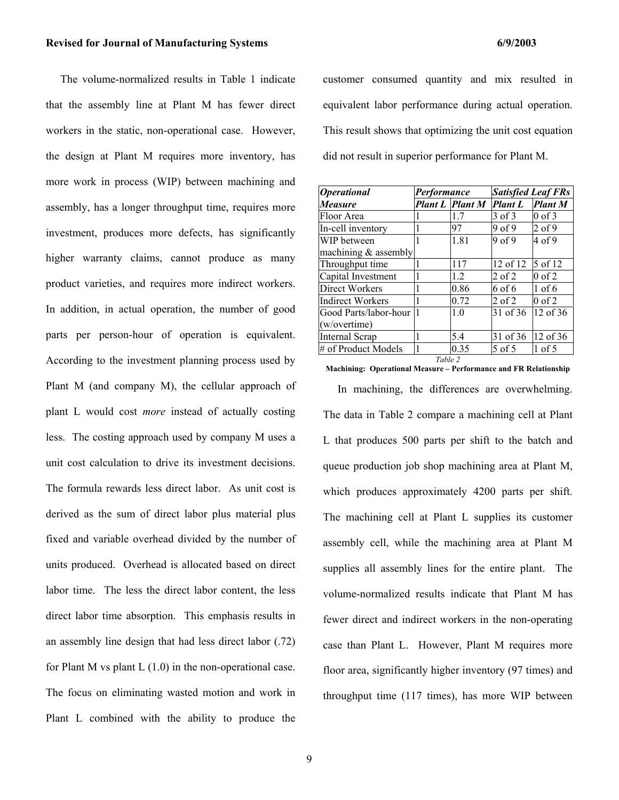The volume-normalized results in Table 1 indicate that the assembly line at Plant M has fewer direct workers in the static, non-operational case. However, the design at Plant M requires more inventory, has more work in process (WIP) between machining and assembly, has a longer throughput time, requires more investment, produces more defects, has significantly higher warranty claims, cannot produce as many product varieties, and requires more indirect workers. In addition, in actual operation, the number of good parts per person-hour of operation is equivalent. According to the investment planning process used by Plant M (and company M), the cellular approach of plant L would cost *more* instead of actually costing less. The costing approach used by company M uses a unit cost calculation to drive its investment decisions. The formula rewards less direct labor. As unit cost is derived as the sum of direct labor plus material plus fixed and variable overhead divided by the number of units produced. Overhead is allocated based on direct labor time. The less the direct labor content, the less direct labor time absorption. This emphasis results in an assembly line design that had less direct labor (.72) for Plant M vs plant  $L(1.0)$  in the non-operational case. The focus on eliminating wasted motion and work in

Plant L combined with the ability to produce the

customer consumed quantity and mix resulted in equivalent labor performance during actual operation. This result shows that optimizing the unit cost equation did not result in superior performance for Plant M.

| <i><b>Operational</b></i> | Performance |                 | <b>Satisfied Leaf FRs</b>     |                |
|---------------------------|-------------|-----------------|-------------------------------|----------------|
| <b>Measure</b>            |             | Plant L Plant M | <b>Plant L</b>                | <b>Plant M</b> |
| Floor Area                |             | 1.7             | 3 of 3                        | $0$ of 3       |
| In-cell inventory         |             | 97              | 9 <sub>0</sub> f <sub>9</sub> | $2$ of 9       |
| WIP between               |             | 1.81            | 9 <sub>0</sub> f <sub>9</sub> | 4 of 9         |
| machining $&$ assembly    |             |                 |                               |                |
| Throughput time           |             | 117             | 12 of 12                      | 5 of 12        |
| Capital Investment        |             | 12              | $2$ of $2$                    | $0$ of $2$     |
| Direct Workers            |             | 0.86            | 6 of 6                        | $1$ of 6       |
| <b>Indirect Workers</b>   |             | 0.72            | $2$ of $2$                    | $0$ of $2$     |
| Good Parts/labor-hour     |             | 10              | 31 of 36                      | $12$ of 36     |
| (w/overtime)              |             |                 |                               |                |
| Internal Scrap            |             | 5.4             | 31 of 36                      | 12 of 36       |
| # of Product Models       |             | 0.35            | 5 of 5                        | $1$ of 5       |
| Table 2                   |             |                 |                               |                |

**Machining: Operational Measure – Performance and FR Relationship** 

In machining, the differences are overwhelming. The data in Table 2 compare a machining cell at Plant L that produces 500 parts per shift to the batch and queue production job shop machining area at Plant M, which produces approximately 4200 parts per shift. The machining cell at Plant L supplies its customer assembly cell, while the machining area at Plant M supplies all assembly lines for the entire plant. The volume-normalized results indicate that Plant M has fewer direct and indirect workers in the non-operating case than Plant L. However, Plant M requires more floor area, significantly higher inventory (97 times) and throughput time (117 times), has more WIP between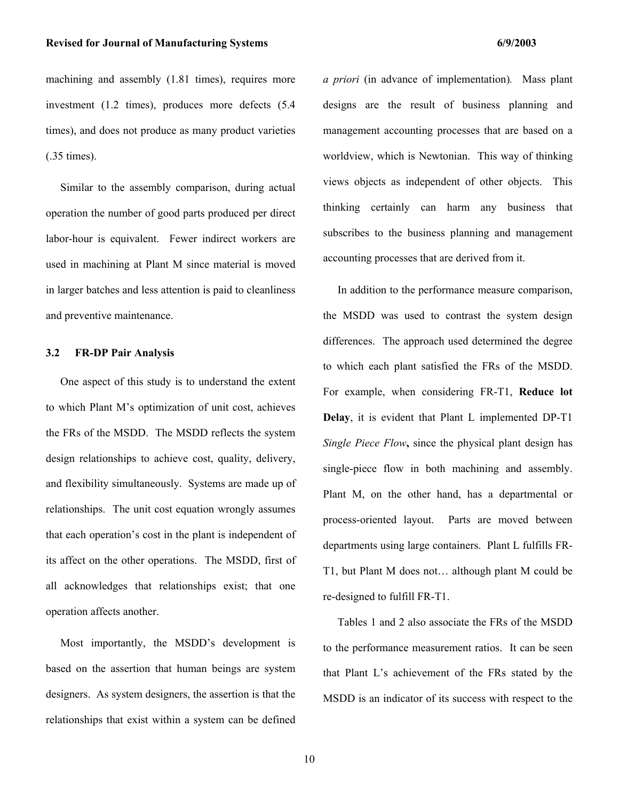machining and assembly  $(1.81 \text{ times})$ , requires more investment (1.2 times), produces more defects (5.4 times), and does not produce as many product varieties (.35 times).

Similar to the assembly comparison, during actual operation the number of good parts produced per direct labor-hour is equivalent. Fewer indirect workers are used in machining at Plant M since material is moved in larger batches and less attention is paid to cleanliness and preventive maintenance.

#### **3.2 FR-DP Pair Analysis**

One aspect of this study is to understand the extent to which Plant M's optimization of unit cost, achieves the FRs of the MSDD. The MSDD reflects the system design relationships to achieve cost, quality, delivery, and flexibility simultaneously. Systems are made up of relationships. The unit cost equation wrongly assumes that each operation's cost in the plant is independent of its affect on the other operations. The MSDD, first of all acknowledges that relationships exist; that one operation affects another.

Most importantly, the MSDD's development is based on the assertion that human beings are system designers. As system designers, the assertion is that the relationships that exist within a system can be defined *a priori* (in advance of implementation)*.* Mass plant designs are the result of business planning and management accounting processes that are based on a worldview, which is Newtonian. This way of thinking views objects as independent of other objects. This thinking certainly can harm any business that subscribes to the business planning and management accounting processes that are derived from it.

In addition to the performance measure comparison, the MSDD was used to contrast the system design differences. The approach used determined the degree to which each plant satisfied the FRs of the MSDD. For example, when considering FR-T1, **Reduce lot Delay**, it is evident that Plant L implemented DP-T1 *Single Piece Flow***,** since the physical plant design has single-piece flow in both machining and assembly. Plant M, on the other hand, has a departmental or process-oriented layout. Parts are moved between departments using large containers. Plant L fulfills FR-T1, but Plant M does not… although plant M could be re-designed to fulfill FR-T1.

Tables 1 and 2 also associate the FRs of the MSDD to the performance measurement ratios. It can be seen that Plant L's achievement of the FRs stated by the MSDD is an indicator of its success with respect to the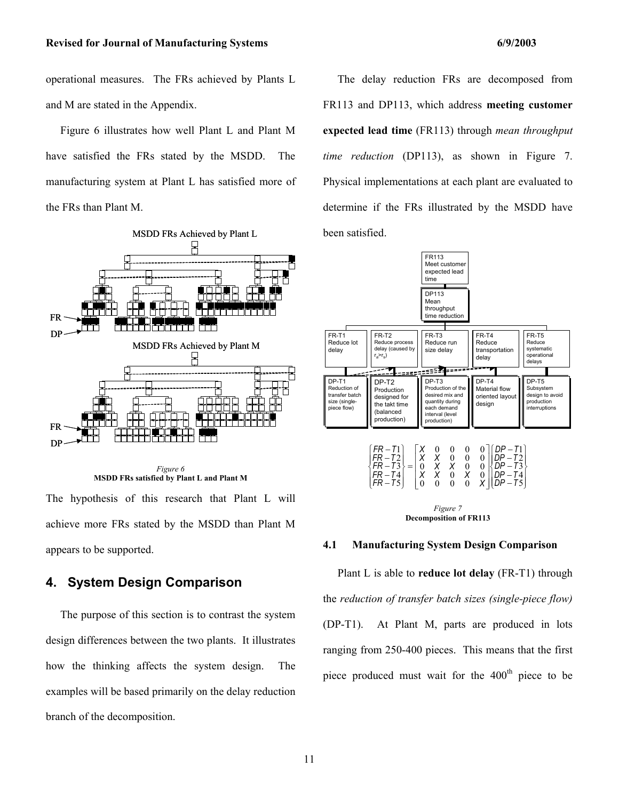operational measures. The FRs achieved by Plants L and M are stated in the Appendix.

Figure 6 illustrates how well Plant L and Plant M have satisfied the FRs stated by the MSDD. The manufacturing system at Plant L has satisfied more of the FRs than Plant M.





The hypothesis of this research that Plant L will achieve more FRs stated by the MSDD than Plant M appears to be supported.

# **4. System Design Comparison**

The purpose of this section is to contrast the system design differences between the two plants. It illustrates how the thinking affects the system design. The examples will be based primarily on the delay reduction branch of the decomposition.

The delay reduction FRs are decomposed from FR113 and DP113, which address **meeting customer expected lead time** (FR113) through *mean throughput time reduction* (DP113), as shown in Figure 7. Physical implementations at each plant are evaluated to determine if the FRs illustrated by the MSDD have been satisfied.



#### **Decomposition of FR113**

#### **4.1 Manufacturing System Design Comparison**

Plant L is able to **reduce lot delay** (FR-T1) through the *reduction of transfer batch sizes (single-piece flow)* (DP-T1). At Plant M, parts are produced in lots ranging from 250-400 pieces. This means that the first piece produced must wait for the  $400<sup>th</sup>$  piece to be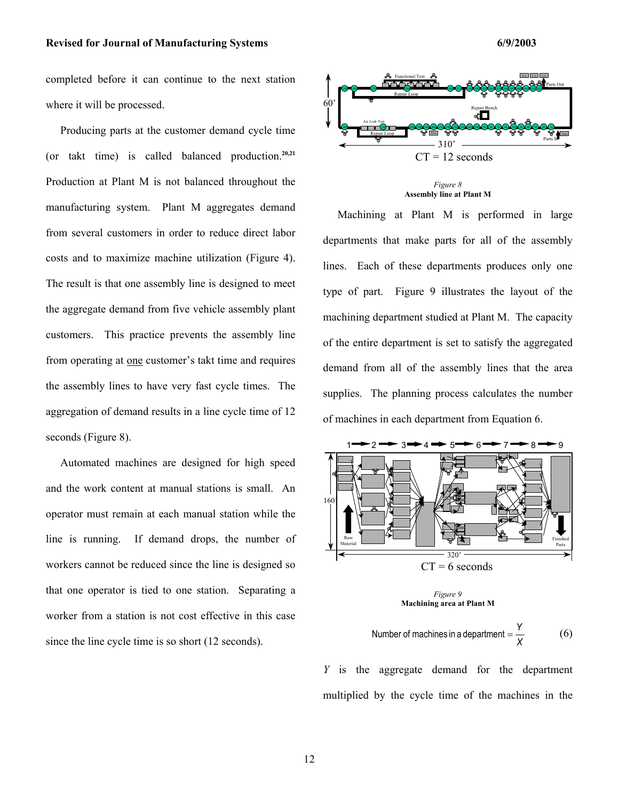#### Revised for Journal of Manufacturing Systems **6/9/2003 6/9/2003**

completed before it can continue to the next station where it will be processed.

Producing parts at the customer demand cycle time (or takt time) is called balanced production.**20,21** Production at Plant M is not balanced throughout the manufacturing system. Plant M aggregates demand from several customers in order to reduce direct labor costs and to maximize machine utilization (Figure 4). The result is that one assembly line is designed to meet the aggregate demand from five vehicle assembly plant customers. This practice prevents the assembly line from operating at one customer's takt time and requires the assembly lines to have very fast cycle times. The aggregation of demand results in a line cycle time of 12 seconds (Figure 8).

Automated machines are designed for high speed and the work content at manual stations is small. An operator must remain at each manual station while the line is running. If demand drops, the number of workers cannot be reduced since the line is designed so that one operator is tied to one station. Separating a worker from a station is not cost effective in this case since the line cycle time is so short (12 seconds).



*Figure 8*  **Assembly line at Plant M** 

Machining at Plant M is performed in large departments that make parts for all of the assembly lines. Each of these departments produces only one type of part. Figure 9 illustrates the layout of the machining department studied at Plant M. The capacity of the entire department is set to satisfy the aggregated demand from all of the assembly lines that the area supplies. The planning process calculates the number of machines in each department from Equation 6.





Number of machines in a department = 
$$
\frac{Y}{X}
$$
 (6)

*Y* is the aggregate demand for the department multiplied by the cycle time of the machines in the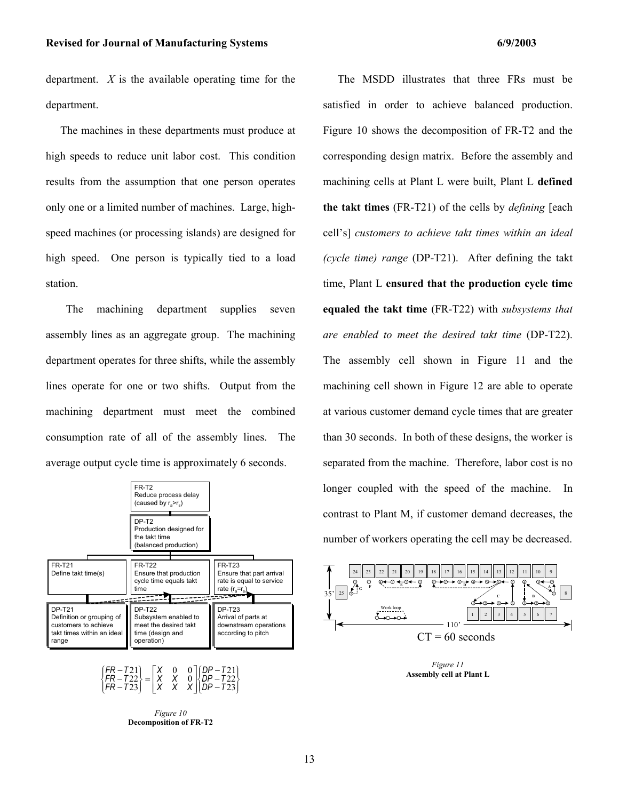department. *X* is the available operating time for the department.

The machines in these departments must produce at high speeds to reduce unit labor cost. This condition results from the assumption that one person operates only one or a limited number of machines. Large, highspeed machines (or processing islands) are designed for high speed. One person is typically tied to a load station.

 The machining department supplies seven assembly lines as an aggregate group. The machining department operates for three shifts, while the assembly lines operate for one or two shifts. Output from the machining department must meet the combined consumption rate of all of the assembly lines. The average output cycle time is approximately 6 seconds.





*Figure 10*  **Decomposition of FR-T2** 

The MSDD illustrates that three FRs must be satisfied in order to achieve balanced production. Figure 10 shows the decomposition of FR-T2 and the corresponding design matrix. Before the assembly and machining cells at Plant L were built, Plant L **defined the takt times** (FR-T21) of the cells by *defining* [each cell's] *customers to achieve takt times within an ideal (cycle time) range* (DP-T21). After defining the takt time, Plant L **ensured that the production cycle time equaled the takt time** (FR-T22) with *subsystems that are enabled to meet the desired takt time* (DP-T22). The assembly cell shown in Figure 11 and the machining cell shown in Figure 12 are able to operate at various customer demand cycle times that are greater than 30 seconds. In both of these designs, the worker is separated from the machine. Therefore, labor cost is no longer coupled with the speed of the machine. In contrast to Plant M, if customer demand decreases, the number of workers operating the cell may be decreased.



*Figure 11*  **Assembly cell at Plant L**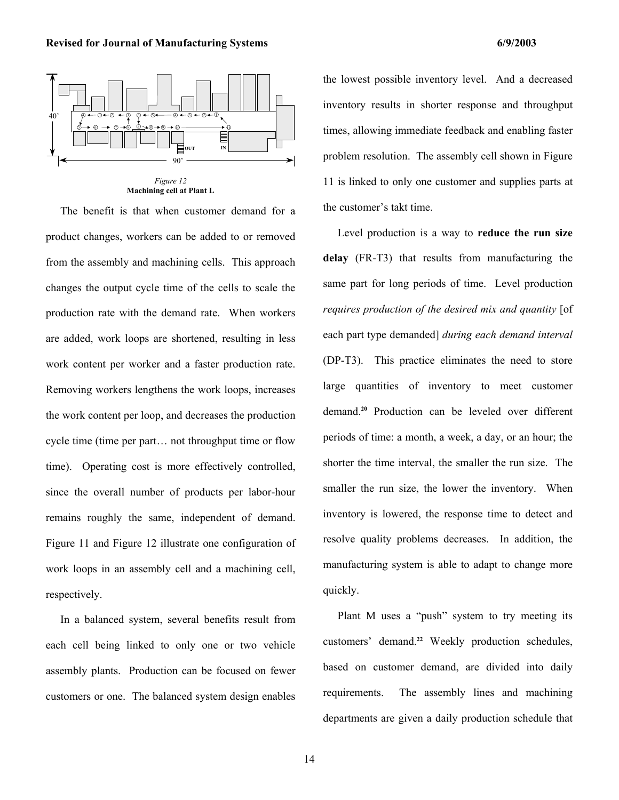

*Figure 12*  **Machining cell at Plant L** 

The benefit is that when customer demand for a product changes, workers can be added to or removed from the assembly and machining cells. This approach changes the output cycle time of the cells to scale the production rate with the demand rate. When workers are added, work loops are shortened, resulting in less work content per worker and a faster production rate. Removing workers lengthens the work loops, increases the work content per loop, and decreases the production cycle time (time per part… not throughput time or flow time). Operating cost is more effectively controlled, since the overall number of products per labor-hour remains roughly the same, independent of demand. Figure 11 and Figure 12 illustrate one configuration of work loops in an assembly cell and a machining cell, respectively.

In a balanced system, several benefits result from each cell being linked to only one or two vehicle assembly plants. Production can be focused on fewer customers or one. The balanced system design enables

the lowest possible inventory level. And a decreased inventory results in shorter response and throughput times, allowing immediate feedback and enabling faster problem resolution. The assembly cell shown in Figure 11 is linked to only one customer and supplies parts at the customer's takt time.

Level production is a way to **reduce the run size delay** (FR-T3) that results from manufacturing the same part for long periods of time. Level production *requires production of the desired mix and quantity* [of each part type demanded] *during each demand interval* (DP-T3). This practice eliminates the need to store large quantities of inventory to meet customer demand.**<sup>20</sup>** Production can be leveled over different periods of time: a month, a week, a day, or an hour; the shorter the time interval, the smaller the run size. The smaller the run size, the lower the inventory. When inventory is lowered, the response time to detect and resolve quality problems decreases. In addition, the manufacturing system is able to adapt to change more quickly.

Plant M uses a "push" system to try meeting its customers' demand.**<sup>22</sup>** Weekly production schedules, based on customer demand, are divided into daily requirements. The assembly lines and machining departments are given a daily production schedule that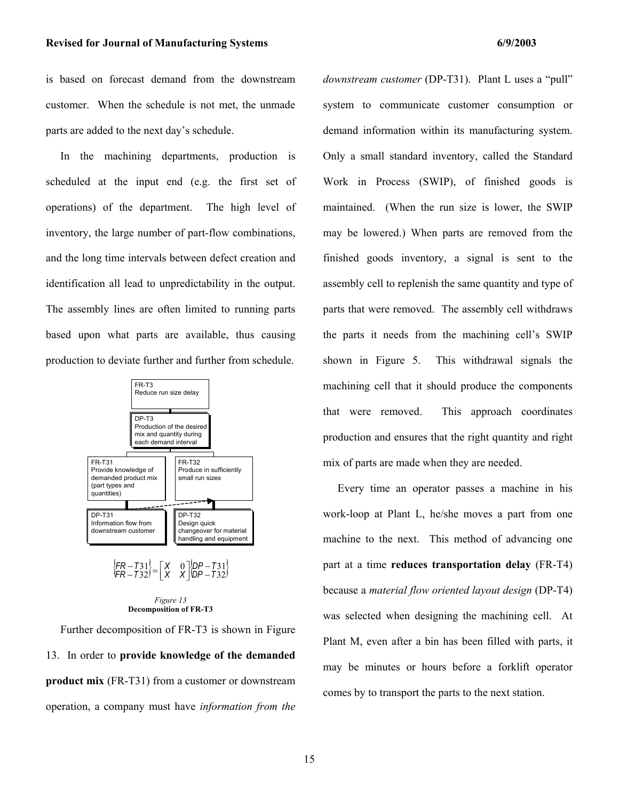is based on forecast demand from the downstream customer. When the schedule is not met, the unmade parts are added to the next day's schedule.

In the machining departments, production is scheduled at the input end (e.g. the first set of operations) of the department. The high level of inventory, the large number of part-flow combinations, and the long time intervals between defect creation and identification all lead to unpredictability in the output. The assembly lines are often limited to running parts based upon what parts are available, thus causing production to deviate further and further from schedule.



#### *Figure 13*  **Decomposition of FR-T3**

Further decomposition of FR-T3 is shown in Figure 13. In order to **provide knowledge of the demanded product mix** (FR-T31) from a customer or downstream operation, a company must have *information from the*  *downstream customer* (DP-T31). Plant L uses a "pull" system to communicate customer consumption or demand information within its manufacturing system. Only a small standard inventory, called the Standard Work in Process (SWIP), of finished goods is maintained. (When the run size is lower, the SWIP may be lowered.) When parts are removed from the finished goods inventory, a signal is sent to the assembly cell to replenish the same quantity and type of parts that were removed. The assembly cell withdraws the parts it needs from the machining cell's SWIP shown in Figure 5. This withdrawal signals the machining cell that it should produce the components that were removed. This approach coordinates production and ensures that the right quantity and right mix of parts are made when they are needed.

Every time an operator passes a machine in his work-loop at Plant L, he/she moves a part from one machine to the next. This method of advancing one part at a time **reduces transportation delay** (FR-T4) because a *material flow oriented layout design* (DP-T4) was selected when designing the machining cell. At Plant M, even after a bin has been filled with parts, it may be minutes or hours before a forklift operator comes by to transport the parts to the next station.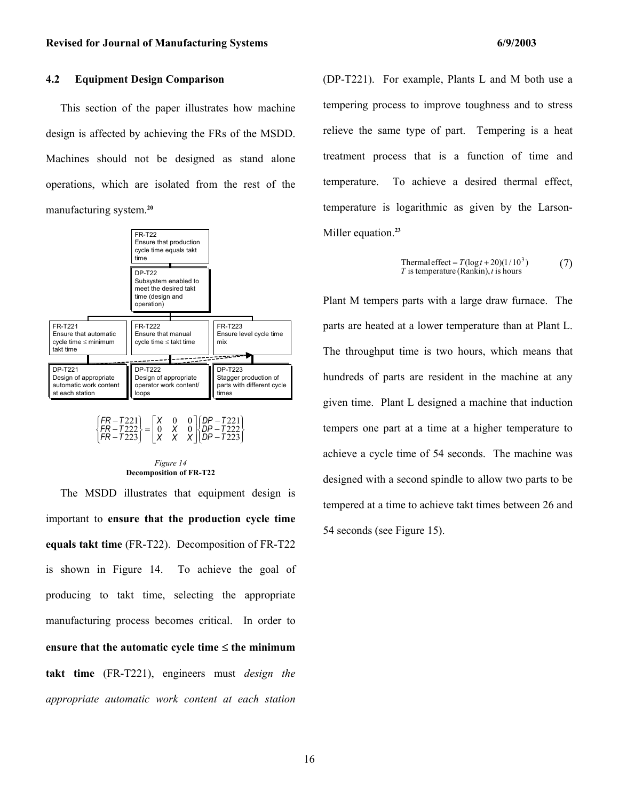#### **4.2 Equipment Design Comparison**

This section of the paper illustrates how machine design is affected by achieving the FRs of the MSDD. Machines should not be designed as stand alone operations, which are isolated from the rest of the manufacturing system.**<sup>20</sup>**



#### *Figure 14*  **Decomposition of FR-T22**

The MSDD illustrates that equipment design is important to **ensure that the production cycle time equals takt time** (FR-T22). Decomposition of FR-T22 is shown in Figure 14. To achieve the goal of producing to takt time, selecting the appropriate manufacturing process becomes critical. In order to **ensure that the automatic cycle time** ≤ **the minimum takt time** (FR-T221), engineers must *design the appropriate automatic work content at each station*

(DP-T221). For example, Plants L and M both use a tempering process to improve toughness and to stress relieve the same type of part. Tempering is a heat treatment process that is a function of time and temperature. To achieve a desired thermal effect, temperature is logarithmic as given by the Larson-Miller equation.**<sup>23</sup>**

Thermal effect = 
$$
T(\log t + 20)(1/10^3)
$$
   
\n*T* is temperature (Rankin), *t* is hours

Plant M tempers parts with a large draw furnace. The parts are heated at a lower temperature than at Plant L. The throughput time is two hours, which means that hundreds of parts are resident in the machine at any given time. Plant L designed a machine that induction tempers one part at a time at a higher temperature to achieve a cycle time of 54 seconds. The machine was designed with a second spindle to allow two parts to be tempered at a time to achieve takt times between 26 and 54 seconds (see Figure 15).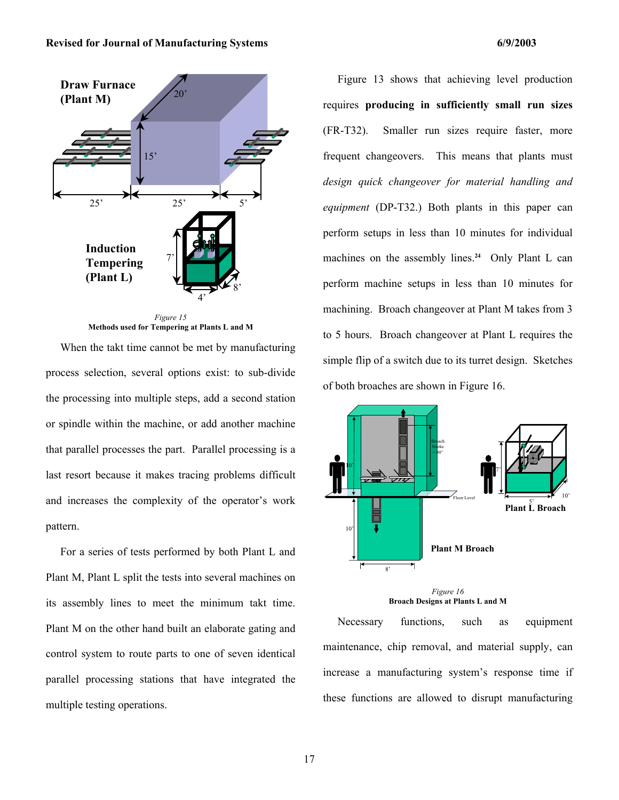

**Methods used for Tempering at Plants L and M** 

When the takt time cannot be met by manufacturing process selection, several options exist: to sub-divide the processing into multiple steps, add a second station or spindle within the machine, or add another machine that parallel processes the part. Parallel processing is a last resort because it makes tracing problems difficult and increases the complexity of the operator's work pattern.

For a series of tests performed by both Plant L and Plant M, Plant L split the tests into several machines on its assembly lines to meet the minimum takt time. Plant M on the other hand built an elaborate gating and control system to route parts to one of seven identical parallel processing stations that have integrated the multiple testing operations.

Figure 13 shows that achieving level production requires **producing in sufficiently small run sizes** (FR-T32). Smaller run sizes require faster, more frequent changeovers. This means that plants must *design quick changeover for material handling and equipment* (DP-T32.) Both plants in this paper can perform setups in less than 10 minutes for individual machines on the assembly lines.<sup>24</sup> Only Plant L can perform machine setups in less than 10 minutes for machining. Broach changeover at Plant M takes from 3 to 5 hours. Broach changeover at Plant L requires the simple flip of a switch due to its turret design. Sketches of both broaches are shown in Figure 16.



**Broach Designs at Plants L and M** 

Necessary functions, such as equipment maintenance, chip removal, and material supply, can increase a manufacturing system's response time if these functions are allowed to disrupt manufacturing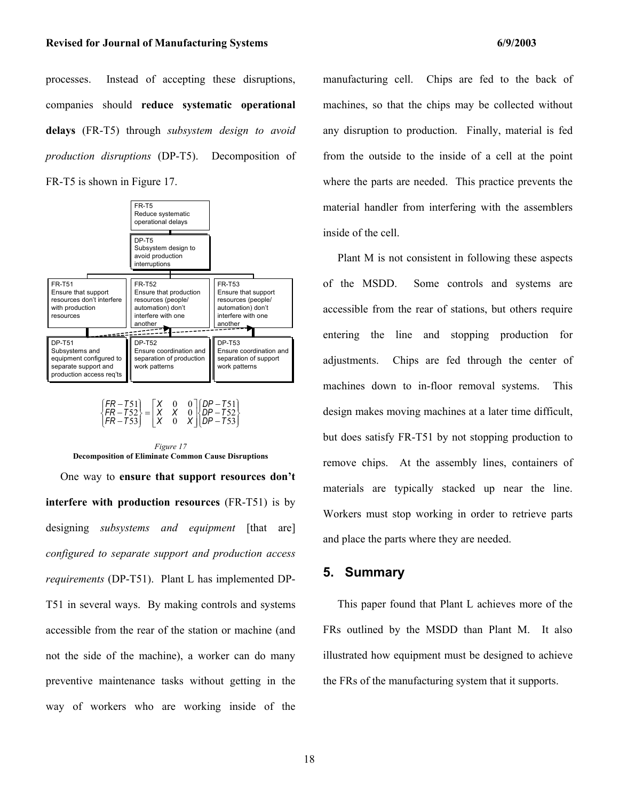processes. Instead of accepting these disruptions, companies should **reduce systematic operational delays** (FR-T5) through *subsystem design to avoid production disruptions* (DP-T5). Decomposition of FR-T5 is shown in Figure 17.



J  $\left\{ \right.$  $\mathbf{I}$  $\overline{\mathcal{L}}$  $\left\{\right.$  $\overline{1}$ − − −  $\overline{\phantom{a}}$  $\overline{\phantom{a}}$ J I L = *X X* J − 51 *FR T*  $\left\{ \right\}$  $\overline{\mathfrak{l}}$  $\mathsf{I}$ ₹  $\overline{1}$ − − 53 52 51 0 *X X*  $\boldsymbol{0}$ 0 0 53 52 *DP T DP T DP T X FR T FR T*



One way to **ensure that support resources don't interfere with production resources** (FR-T51) is by designing *subsystems and equipment* [that are] *configured to separate support and production access requirements* (DP-T51). Plant L has implemented DP-T51 in several ways. By making controls and systems accessible from the rear of the station or machine (and not the side of the machine), a worker can do many preventive maintenance tasks without getting in the way of workers who are working inside of the manufacturing cell. Chips are fed to the back of machines, so that the chips may be collected without any disruption to production. Finally, material is fed from the outside to the inside of a cell at the point where the parts are needed. This practice prevents the material handler from interfering with the assemblers inside of the cell.

Plant M is not consistent in following these aspects of the MSDD. Some controls and systems are accessible from the rear of stations, but others require entering the line and stopping production for adjustments. Chips are fed through the center of machines down to in-floor removal systems. This design makes moving machines at a later time difficult, but does satisfy FR-T51 by not stopping production to remove chips. At the assembly lines, containers of materials are typically stacked up near the line. Workers must stop working in order to retrieve parts and place the parts where they are needed.

## **5. Summary**

This paper found that Plant L achieves more of the FRs outlined by the MSDD than Plant M. It also illustrated how equipment must be designed to achieve the FRs of the manufacturing system that it supports.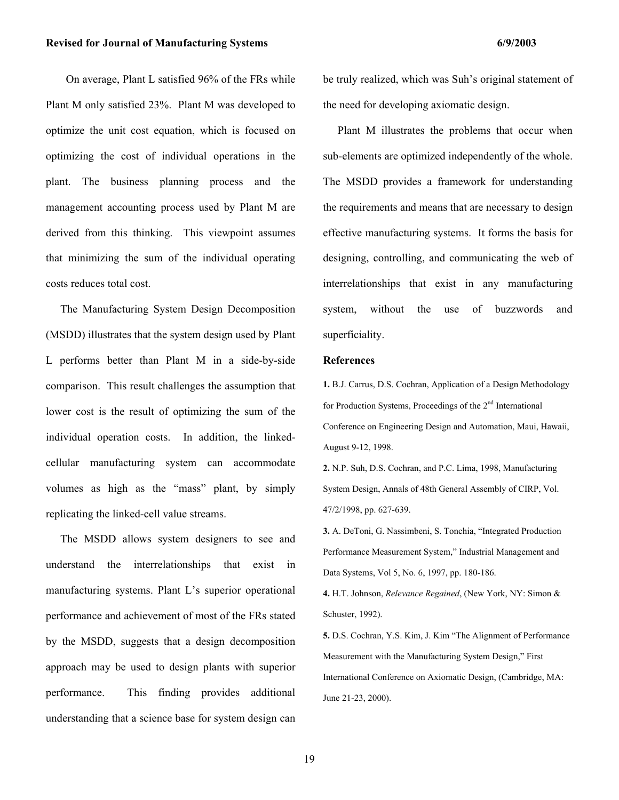On average, Plant L satisfied 96% of the FRs while Plant M only satisfied 23%. Plant M was developed to optimize the unit cost equation, which is focused on optimizing the cost of individual operations in the plant. The business planning process and the management accounting process used by Plant M are derived from this thinking. This viewpoint assumes that minimizing the sum of the individual operating costs reduces total cost.

The Manufacturing System Design Decomposition (MSDD) illustrates that the system design used by Plant L performs better than Plant M in a side-by-side comparison. This result challenges the assumption that lower cost is the result of optimizing the sum of the individual operation costs. In addition, the linkedcellular manufacturing system can accommodate volumes as high as the "mass" plant, by simply replicating the linked-cell value streams.

The MSDD allows system designers to see and understand the interrelationships that exist in manufacturing systems. Plant L's superior operational performance and achievement of most of the FRs stated by the MSDD, suggests that a design decomposition approach may be used to design plants with superior performance. This finding provides additional understanding that a science base for system design can be truly realized, which was Suh's original statement of the need for developing axiomatic design.

Plant M illustrates the problems that occur when sub-elements are optimized independently of the whole. The MSDD provides a framework for understanding the requirements and means that are necessary to design effective manufacturing systems. It forms the basis for designing, controlling, and communicating the web of interrelationships that exist in any manufacturing system, without the use of buzzwords and superficiality.

#### **References**

**1.** B.J. Carrus, D.S. Cochran, Application of a Design Methodology for Production Systems, Proceedings of the  $2<sup>nd</sup>$  International Conference on Engineering Design and Automation, Maui, Hawaii, August 9-12, 1998.

**2.** N.P. Suh, D.S. Cochran, and P.C. Lima, 1998, Manufacturing System Design, Annals of 48th General Assembly of CIRP, Vol. 47/2/1998, pp. 627-639.

**3.** A. DeToni, G. Nassimbeni, S. Tonchia, "Integrated Production Performance Measurement System," Industrial Management and Data Systems, Vol 5, No. 6, 1997, pp. 180-186.

**4.** H.T. Johnson, *Relevance Regained*, (New York, NY: Simon & Schuster, 1992).

**5.** D.S. Cochran, Y.S. Kim, J. Kim "The Alignment of Performance Measurement with the Manufacturing System Design," First International Conference on Axiomatic Design, (Cambridge, MA: June 21-23, 2000).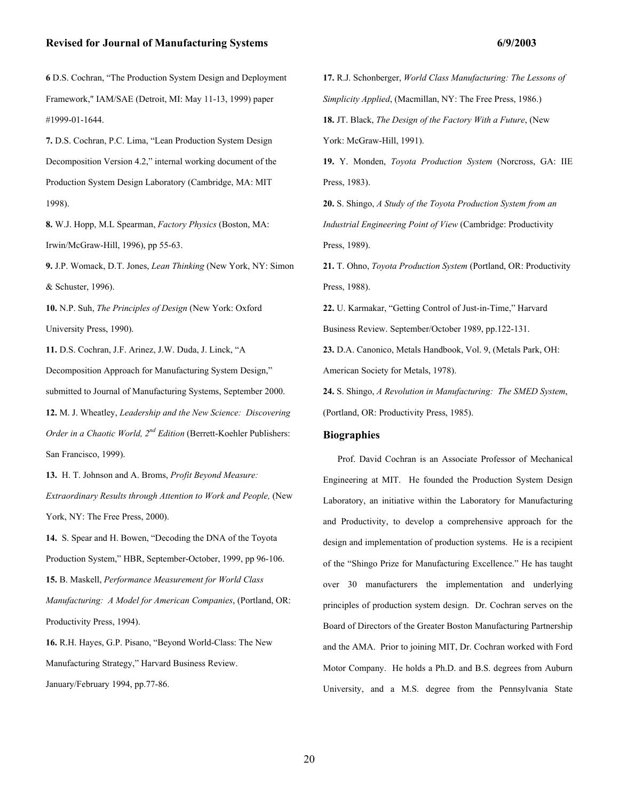**6** D.S. Cochran, "The Production System Design and Deployment Framework," IAM/SAE (Detroit, MI: May 11-13, 1999) paper #1999-01-1644.

**7.** D.S. Cochran, P.C. Lima, "Lean Production System Design Decomposition Version 4.2," internal working document of the Production System Design Laboratory (Cambridge, MA: MIT 1998).

**8.** W.J. Hopp, M.L Spearman, *Factory Physics* (Boston, MA: Irwin/McGraw-Hill, 1996), pp 55-63.

**9.** J.P. Womack, D.T. Jones, *Lean Thinking* (New York, NY: Simon & Schuster, 1996).

**10.** N.P. Suh, *The Principles of Design* (New York: Oxford University Press, 1990).

**11.** D.S. Cochran, J.F. Arinez, J.W. Duda, J. Linck, "A Decomposition Approach for Manufacturing System Design," submitted to Journal of Manufacturing Systems, September 2000. **12.** M. J. Wheatley, *Leadership and the New Science: Discovering Order in a Chaotic World, 2<sup>nd</sup> Edition* (Berrett-Koehler Publishers: San Francisco, 1999).

**13.** H. T. Johnson and A. Broms, *Profit Beyond Measure: Extraordinary Results through Attention to Work and People,* (New York, NY: The Free Press, 2000).

**14.** S. Spear and H. Bowen, "Decoding the DNA of the Toyota Production System," HBR, September-October, 1999, pp 96-106. **15.** B. Maskell, *Performance Measurement for World Class Manufacturing: A Model for American Companies*, (Portland, OR: Productivity Press, 1994).

**16.** R.H. Hayes, G.P. Pisano, "Beyond World-Class: The New Manufacturing Strategy," Harvard Business Review. January/February 1994, pp.77-86.

**17.** R.J. Schonberger, *World Class Manufacturing: The Lessons of Simplicity Applied*, (Macmillan, NY: The Free Press, 1986.) **18.** JT. Black, *The Design of the Factory With a Future*, (New York: McGraw-Hill, 1991).

**19.** Y. Monden, *Toyota Production System* (Norcross, GA: IIE Press, 1983).

**20.** S. Shingo, *A Study of the Toyota Production System from an Industrial Engineering Point of View* (Cambridge: Productivity Press, 1989).

**21.** T. Ohno, *Toyota Production System* (Portland, OR: Productivity Press, 1988).

**22.** U. Karmakar, "Getting Control of Just-in-Time," Harvard Business Review. September/October 1989, pp.122-131.

**23.** D.A. Canonico, Metals Handbook, Vol. 9, (Metals Park, OH: American Society for Metals, 1978).

**24.** S. Shingo, *A Revolution in Manufacturing: The SMED System*, (Portland, OR: Productivity Press, 1985).

#### **Biographies**

Prof. David Cochran is an Associate Professor of Mechanical Engineering at MIT. He founded the Production System Design Laboratory, an initiative within the Laboratory for Manufacturing and Productivity, to develop a comprehensive approach for the design and implementation of production systems. He is a recipient of the "Shingo Prize for Manufacturing Excellence." He has taught over 30 manufacturers the implementation and underlying principles of production system design. Dr. Cochran serves on the Board of Directors of the Greater Boston Manufacturing Partnership and the AMA. Prior to joining MIT, Dr. Cochran worked with Ford Motor Company. He holds a Ph.D. and B.S. degrees from Auburn University, and a M.S. degree from the Pennsylvania State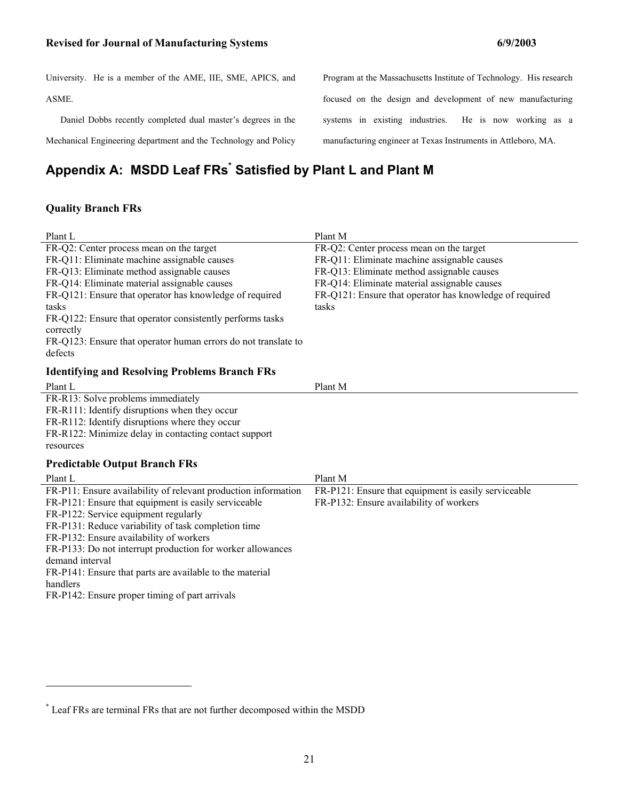University. He is a member of the AME, IIE, SME, APICS, and ASME. Daniel Dobbs recently completed dual master's degrees in the Mechanical Engineering department and the Technology and Policy Program at the Massachusetts Institute of Technology. His research focused on the design and development of new manufacturing systems in existing industries. He is now working as a manufacturing engineer at Texas Instruments in Attleboro, MA.

# **Appendix A: MSDD Leaf FRs\* Satisfied by Plant L and Plant M**

### **Quality Branch FRs**

÷,

1

| Plant L                                                                                         | Plant M                                                                                 |
|-------------------------------------------------------------------------------------------------|-----------------------------------------------------------------------------------------|
| FR-Q2: Center process mean on the target<br>FR-Q11: Eliminate machine assignable causes         | FR-Q2: Center process mean on the target<br>FR-Q11: Eliminate machine assignable causes |
| FR-Q13: Eliminate method assignable causes                                                      | FR-Q13: Eliminate method assignable causes                                              |
| FR-Q14: Eliminate material assignable causes                                                    | FR-Q14: Eliminate material assignable causes                                            |
| FR-Q121: Ensure that operator has knowledge of required                                         | FR-Q121: Ensure that operator has knowledge of required                                 |
| tasks<br>FR-Q122: Ensure that operator consistently performs tasks                              | tasks                                                                                   |
| correctly                                                                                       |                                                                                         |
| FR-Q123: Ensure that operator human errors do not translate to                                  |                                                                                         |
| defects                                                                                         |                                                                                         |
| <b>Identifying and Resolving Problems Branch FRs</b>                                            |                                                                                         |
| Plant L                                                                                         | Plant M                                                                                 |
| FR-R13: Solve problems immediately                                                              |                                                                                         |
| FR-R111: Identify disruptions when they occur<br>FR-R112: Identify disruptions where they occur |                                                                                         |
| FR-R122: Minimize delay in contacting contact support                                           |                                                                                         |
| resources                                                                                       |                                                                                         |
| <b>Predictable Output Branch FRs</b>                                                            |                                                                                         |
| Plant L                                                                                         | Plant M                                                                                 |
| FR-P11: Ensure availability of relevant production information                                  | FR-P121: Ensure that equipment is easily serviceable                                    |
| FR-P121: Ensure that equipment is easily serviceable                                            | FR-P132: Ensure availability of workers                                                 |
| FR-P122: Service equipment regularly                                                            |                                                                                         |
| FR-P131: Reduce variability of task completion time<br>FR-P132: Ensure availability of workers  |                                                                                         |
| FR-P133: Do not interrupt production for worker allowances                                      |                                                                                         |
| demand interval                                                                                 |                                                                                         |
| FR-P141: Ensure that parts are available to the material                                        |                                                                                         |
| handlers                                                                                        |                                                                                         |
| FR-P142: Ensure proper timing of part arrivals                                                  |                                                                                         |
|                                                                                                 |                                                                                         |

<sup>\*</sup> Leaf FRs are terminal FRs that are not further decomposed within the MSDD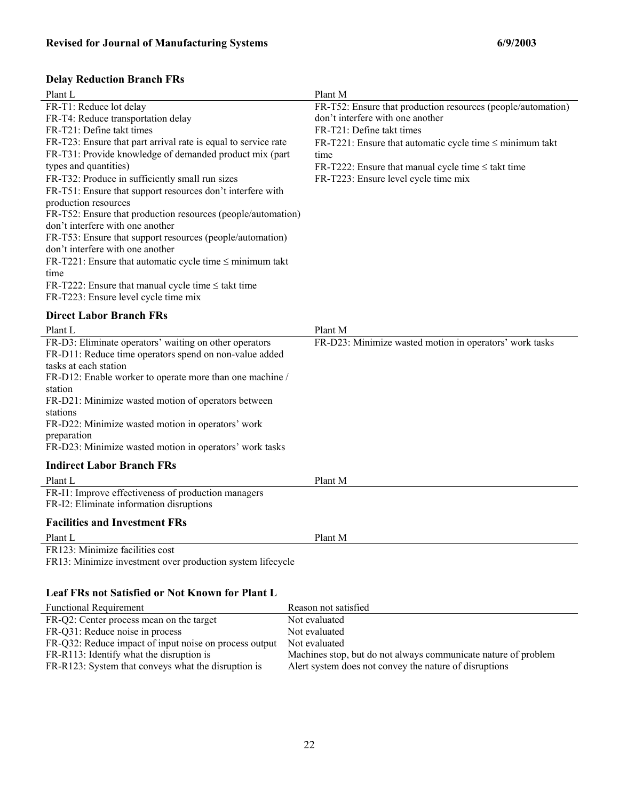# **Delay Reduction Branch FRs**

| Plant L                                                        | Plant M                                                       |
|----------------------------------------------------------------|---------------------------------------------------------------|
| FR-T1: Reduce lot delay                                        | FR-T52: Ensure that production resources (people/automation)  |
| FR-T4: Reduce transportation delay                             | don't interfere with one another                              |
| FR-T21: Define takt times                                      | FR-T21: Define takt times                                     |
| FR-T23: Ensure that part arrival rate is equal to service rate | FR-T221: Ensure that automatic cycle time $\leq$ minimum takt |
| FR-T31: Provide knowledge of demanded product mix (part        | time                                                          |
| types and quantities)                                          | FR-T222: Ensure that manual cycle time $\leq$ takt time       |
| FR-T32: Produce in sufficiently small run sizes                | FR-T223: Ensure level cycle time mix                          |
| FR-T51: Ensure that support resources don't interfere with     |                                                               |
| production resources                                           |                                                               |
| FR-T52: Ensure that production resources (people/automation)   |                                                               |
| don't interfere with one another                               |                                                               |
| FR-T53: Ensure that support resources (people/automation)      |                                                               |
| don't interfere with one another                               |                                                               |
| FR-T221: Ensure that automatic cycle time $\leq$ minimum takt  |                                                               |
| time                                                           |                                                               |
| FR-T222: Ensure that manual cycle time $\leq$ takt time        |                                                               |
| FR-T223: Ensure level cycle time mix                           |                                                               |
| <b>Direct Labor Branch FRs</b>                                 |                                                               |
| Plant L                                                        | Plant M                                                       |
|                                                                |                                                               |
| FR-D3: Eliminate operators' waiting on other operators         | FR-D23: Minimize wasted motion in operators' work tasks       |
| FR-D11: Reduce time operators spend on non-value added         |                                                               |
| tasks at each station                                          |                                                               |
| FR-D12: Enable worker to operate more than one machine /       |                                                               |
| station                                                        |                                                               |
| FR-D21: Minimize wasted motion of operators between            |                                                               |
| stations                                                       |                                                               |
| FR-D22: Minimize wasted motion in operators' work              |                                                               |
| preparation                                                    |                                                               |
| FR-D23: Minimize wasted motion in operators' work tasks        |                                                               |
| <b>Indirect Labor Branch FRs</b>                               |                                                               |
| Plant L                                                        | Plant M                                                       |
| FR-I1: Improve effectiveness of production managers            |                                                               |
| FR-I2: Eliminate information disruptions                       |                                                               |
| <b>Facilities and Investment FRs</b>                           |                                                               |

FR123: Minimize facilities cost FR13: Minimize investment over production system lifecycle

# **Leaf FRs not Satisfied or Not Known for Plant L**

| <b>Functional Requirement</b>                          | Reason not satisfied                                           |
|--------------------------------------------------------|----------------------------------------------------------------|
| FR-Q2: Center process mean on the target               | Not evaluated                                                  |
| FR-Q31: Reduce noise in process                        | Not evaluated                                                  |
| FR-Q32: Reduce impact of input noise on process output | Not evaluated                                                  |
| FR-R113: Identify what the disruption is               | Machines stop, but do not always communicate nature of problem |
| FR-R123: System that conveys what the disruption is    | Alert system does not convey the nature of disruptions         |